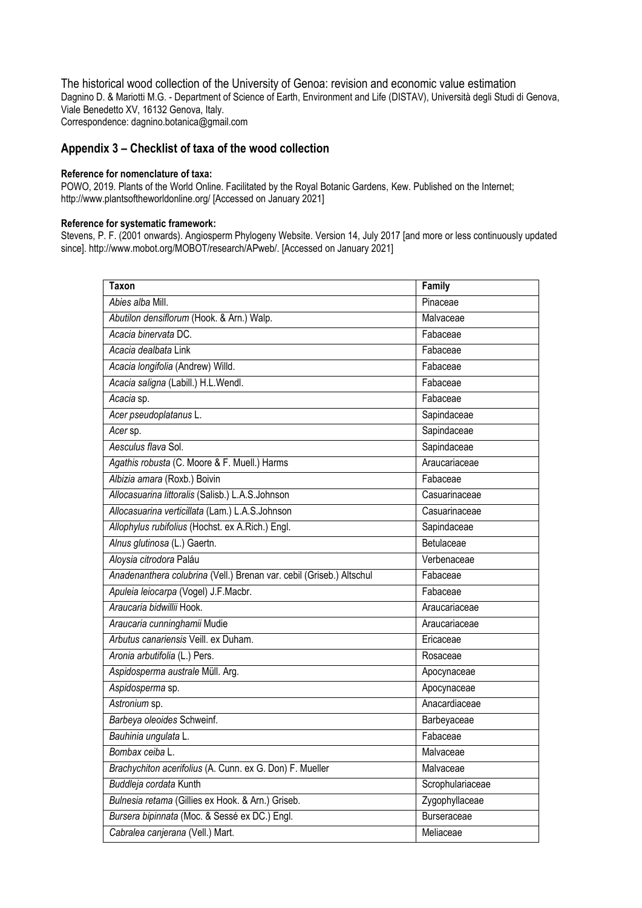The historical wood collection of the University of Genoa: revision and economic value estimation Dagnino D. & Mariotti M.G. - Department of Science of Earth, Environment and Life (DISTAV), Università degli Studi di Genova, Viale Benedetto XV, 16132 Genova, Italy. Correspondence: dagnino.botanica@gmail.com

**Appendix 3 – Checklist of taxa of the wood collection**

## **Reference for nomenclature of taxa:**

POWO, 2019. Plants of the World Online. Facilitated by the Royal Botanic Gardens, Kew. Published on the Internet; http://www.plantsoftheworldonline.org/ [Accessed on January 2021]

## **Reference for systematic framework:**

Stevens, P. F. (2001 onwards). Angiosperm Phylogeny Website. Version 14, July 2017 [and more or less continuously updated since]. http://www.mobot.org/MOBOT/research/APweb/. [Accessed on January 2021]

| <b>Taxon</b>                                                         | Family           |
|----------------------------------------------------------------------|------------------|
| Abies alba Mill.                                                     | Pinaceae         |
| Abutilon densiflorum (Hook. & Arn.) Walp.                            | Malvaceae        |
| Acacia binervata DC.                                                 | Fabaceae         |
| Acacia dealbata Link                                                 | Fabaceae         |
| Acacia longifolia (Andrew) Willd.                                    | Fabaceae         |
| Acacia saligna (Labill.) H.L. Wendl.                                 | Fabaceae         |
| Acacia sp.                                                           | Fabaceae         |
| Acer pseudoplatanus L.                                               | Sapindaceae      |
| Acer sp.                                                             | Sapindaceae      |
| Aesculus flava Sol.                                                  | Sapindaceae      |
| Agathis robusta (C. Moore & F. Muell.) Harms                         | Araucariaceae    |
| Albizia amara (Roxb.) Boivin                                         | Fabaceae         |
| Allocasuarina littoralis (Salisb.) L.A.S.Johnson                     | Casuarinaceae    |
| Allocasuarina verticillata (Lam.) L.A.S.Johnson                      | Casuarinaceae    |
| Allophylus rubifolius (Hochst. ex A.Rich.) Engl.                     | Sapindaceae      |
| Alnus glutinosa (L.) Gaertn.                                         | Betulaceae       |
| Aloysia citrodora Paláu                                              | Verbenaceae      |
| Anadenanthera colubrina (Vell.) Brenan var. cebil (Griseb.) Altschul | Fabaceae         |
| Apuleia leiocarpa (Vogel) J.F.Macbr.                                 | Fabaceae         |
| Araucaria bidwillii Hook.                                            | Araucariaceae    |
| Araucaria cunninghamii Mudie                                         | Araucariaceae    |
| Arbutus canariensis Veill. ex Duham.                                 | Ericaceae        |
| Aronia arbutifolia (L.) Pers.                                        | Rosaceae         |
| Aspidosperma australe Müll. Arg.                                     | Apocynaceae      |
| Aspidosperma sp.                                                     | Apocynaceae      |
| Astronium sp.                                                        | Anacardiaceae    |
| Barbeya oleoides Schweinf.                                           | Barbeyaceae      |
| Bauhinia ungulata L.                                                 | Fabaceae         |
| Bombax ceiba L.                                                      | Malvaceae        |
| Brachychiton acerifolius (A. Cunn. ex G. Don) F. Mueller             | Malvaceae        |
| Buddleja cordata Kunth                                               | Scrophulariaceae |
| Bulnesia retama (Gillies ex Hook. & Arn.) Griseb.                    | Zygophyllaceae   |
| Bursera bipinnata (Moc. & Sessé ex DC.) Engl.                        | Burseraceae      |
| Cabralea canjerana (Vell.) Mart.                                     | Meliaceae        |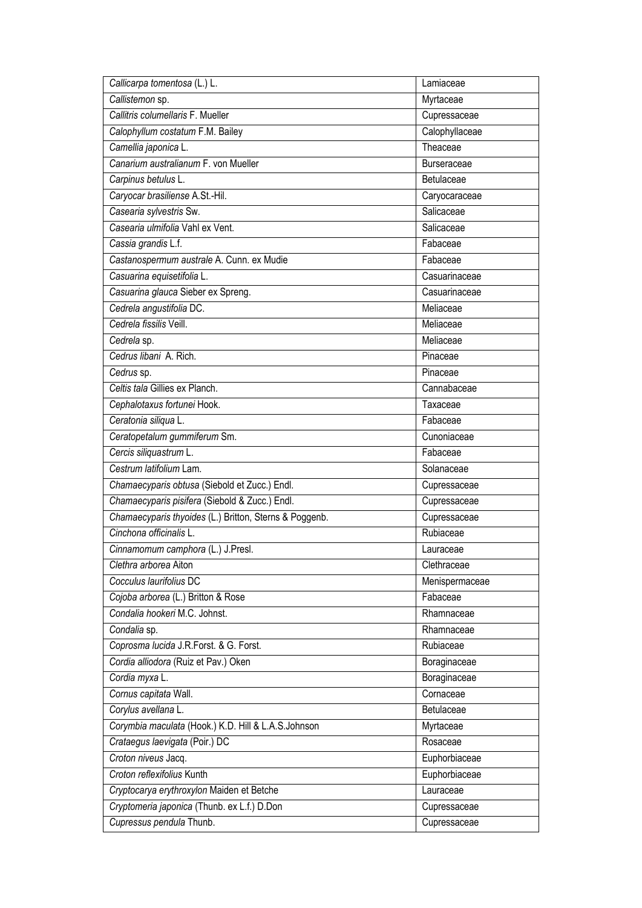| Callicarpa tomentosa (L.) L.                           | Lamiaceae          |
|--------------------------------------------------------|--------------------|
| Callistemon sp.                                        | Myrtaceae          |
| Callitris columellaris F. Mueller                      | Cupressaceae       |
| Calophyllum costatum F.M. Bailey                       | Calophyllaceae     |
| Camellia japonica L.                                   | Theaceae           |
| Canarium australianum F. von Mueller                   | <b>Burseraceae</b> |
| Carpinus betulus L.                                    | Betulaceae         |
| Caryocar brasiliense A.St.-Hil.                        | Caryocaraceae      |
| Casearia sylvestris Sw.                                | Salicaceae         |
| Casearia ulmifolia Vahl ex Vent.                       | Salicaceae         |
| Cassia grandis L.f.                                    | Fabaceae           |
| Castanospermum australe A. Cunn. ex Mudie              | Fabaceae           |
| Casuarina equisetifolia L.                             | Casuarinaceae      |
| Casuarina glauca Sieber ex Spreng.                     | Casuarinaceae      |
| Cedrela angustifolia DC.                               | Meliaceae          |
| Cedrela fissilis Veill.                                | Meliaceae          |
| Cedrela sp.                                            | Meliaceae          |
| Cedrus libani A. Rich.                                 | Pinaceae           |
| Cedrus sp.                                             | Pinaceae           |
| Celtis tala Gillies ex Planch.                         | Cannabaceae        |
| Cephalotaxus fortunei Hook.                            | Taxaceae           |
| Ceratonia siliqua L.                                   | Fabaceae           |
| Ceratopetalum gummiferum Sm.                           | Cunoniaceae        |
| Cercis siliquastrum L.                                 | Fabaceae           |
| Cestrum latifolium Lam.                                | Solanaceae         |
| Chamaecyparis obtusa (Siebold et Zucc.) Endl.          | Cupressaceae       |
| Chamaecyparis pisifera (Siebold & Zucc.) Endl.         | Cupressaceae       |
| Chamaecyparis thyoides (L.) Britton, Sterns & Poggenb. | Cupressaceae       |
| Cinchona officinalis L.                                | Rubiaceae          |
| Cinnamomum camphora (L.) J.Presl.                      | Lauraceae          |
| Clethra arborea Aiton                                  | Clethraceae        |
| Cocculus laurifolius DC                                | Menispermaceae     |
| Cojoba arborea (L.) Britton & Rose                     | Fabaceae           |
| Condalia hookeri M.C. Johnst.                          | Rhamnaceae         |
| Condalia sp.                                           | Rhamnaceae         |
| Coprosma lucida J.R.Forst. & G. Forst.                 | Rubiaceae          |
| Cordia alliodora (Ruiz et Pav.) Oken                   | Boraginaceae       |
| Cordia myxa L.                                         | Boraginaceae       |
| Cornus capitata Wall.                                  | Cornaceae          |
| Corylus avellana L.                                    | Betulaceae         |
| Corymbia maculata (Hook.) K.D. Hill & L.A.S.Johnson    | Myrtaceae          |
| Crataegus laevigata (Poir.) DC                         | Rosaceae           |
| Croton niveus Jacq.                                    | Euphorbiaceae      |
| Croton reflexifolius Kunth                             | Euphorbiaceae      |
| Cryptocarya erythroxylon Maiden et Betche              | Lauraceae          |
| Cryptomeria japonica (Thunb. ex L.f.) D.Don            | Cupressaceae       |
| Cupressus pendula Thunb.                               | Cupressaceae       |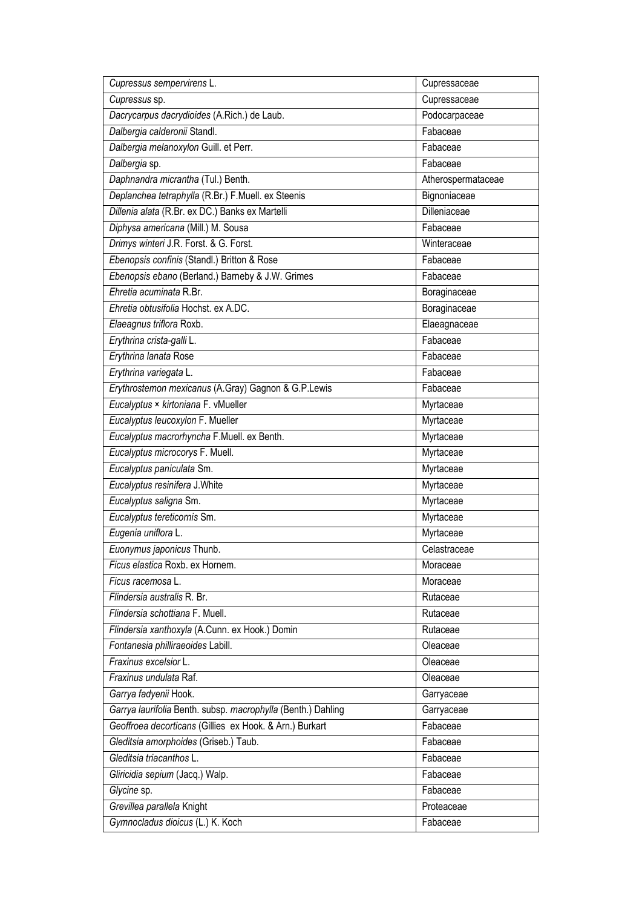| Cupressus sempervirens L.                                    | Cupressaceae       |
|--------------------------------------------------------------|--------------------|
| Cupressus sp.                                                | Cupressaceae       |
| Dacrycarpus dacrydioides (A.Rich.) de Laub.                  | Podocarpaceae      |
| Dalbergia calderonii Standl.                                 | Fabaceae           |
| Dalbergia melanoxylon Guill. et Perr.                        | Fabaceae           |
| Dalbergia sp.                                                | Fabaceae           |
| Daphnandra micrantha (Tul.) Benth.                           | Atherospermataceae |
| Deplanchea tetraphylla (R.Br.) F.Muell. ex Steenis           | Bignoniaceae       |
| Dillenia alata (R.Br. ex DC.) Banks ex Martelli              | Dilleniaceae       |
| Diphysa americana (Mill.) M. Sousa                           | Fabaceae           |
| Drimys winteri J.R. Forst. & G. Forst.                       | Winteraceae        |
| Ebenopsis confinis (Standl.) Britton & Rose                  | Fabaceae           |
| Ebenopsis ebano (Berland.) Barneby & J.W. Grimes             | Fabaceae           |
| Ehretia acuminata R.Br.                                      | Boraginaceae       |
| Ehretia obtusifolia Hochst, ex A.DC.                         | Boraginaceae       |
| Elaeagnus triflora Roxb.                                     | Elaeagnaceae       |
| Erythrina crista-galli L.                                    | Fabaceae           |
| Erythrina lanata Rose                                        | Fabaceae           |
| Erythrina variegata L.                                       | Fabaceae           |
| Erythrostemon mexicanus (A.Gray) Gagnon & G.P.Lewis          | Fabaceae           |
| Eucalyptus × kirtoniana F. vMueller                          | Myrtaceae          |
| Eucalyptus leucoxylon F. Mueller                             | Myrtaceae          |
| Eucalyptus macrorhyncha F.Muell. ex Benth.                   | Myrtaceae          |
| Eucalyptus microcorys F. Muell.                              | Myrtaceae          |
| Eucalyptus paniculata Sm.                                    | Myrtaceae          |
| Eucalyptus resinifera J. White                               | Myrtaceae          |
| Eucalyptus saligna Sm.                                       | Myrtaceae          |
| Eucalyptus tereticornis Sm.                                  | Myrtaceae          |
| Eugenia uniflora L.                                          | Myrtaceae          |
| Euonymus japonicus Thunb.                                    | Celastraceae       |
| Ficus elastica Roxb. ex Hornem.                              | Moraceae           |
| Ficus racemosa L.                                            | Moraceae           |
| Flindersia australis R. Br.                                  | Rutaceae           |
| Flindersia schottiana F. Muell.                              | Rutaceae           |
| Flindersia xanthoxyla (A.Cunn. ex Hook.) Domin               | Rutaceae           |
| Fontanesia philliraeoides Labill.                            | Oleaceae           |
| Fraxinus excelsior L.                                        | Oleaceae           |
| Fraxinus undulata Raf.                                       | Oleaceae           |
| Garrya fadyenii Hook.                                        | Garryaceae         |
| Garrya laurifolia Benth. subsp. macrophylla (Benth.) Dahling | Garryaceae         |
| Geoffroea decorticans (Gillies ex Hook. & Arn.) Burkart      | Fabaceae           |
| Gleditsia amorphoides (Griseb.) Taub.                        | Fabaceae           |
| Gleditsia triacanthos L.                                     | Fabaceae           |
| Gliricidia sepium (Jacq.) Walp.                              | Fabaceae           |
| Glycine sp.                                                  | Fabaceae           |
| Grevillea parallela Knight                                   | Proteaceae         |
| Gymnocladus dioicus (L.) K. Koch                             | Fabaceae           |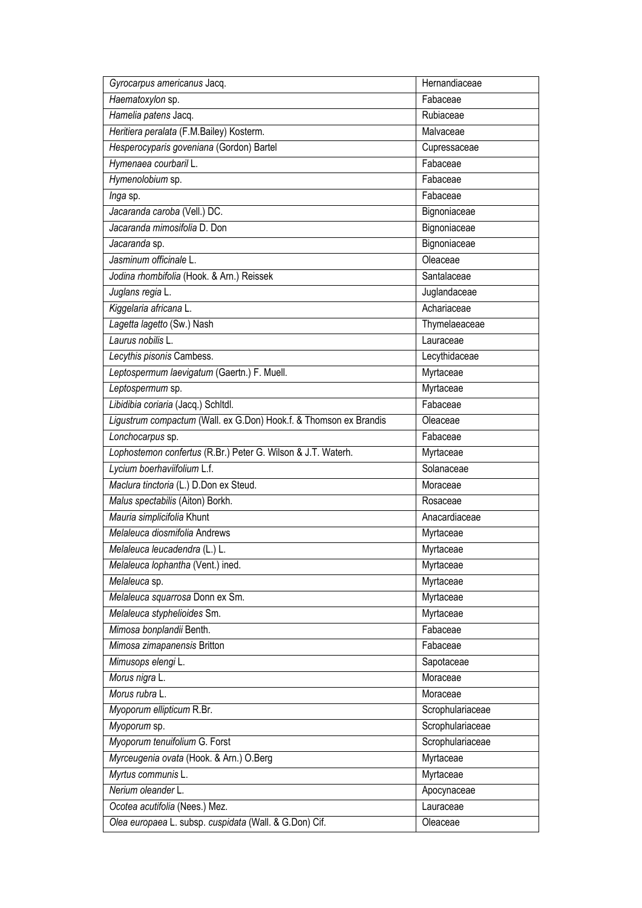| Gyrocarpus americanus Jacq.                                       | Hernandiaceae    |
|-------------------------------------------------------------------|------------------|
| Haematoxylon sp.                                                  | Fabaceae         |
| Hamelia patens Jacq.                                              | Rubiaceae        |
| Heritiera peralata (F.M.Bailey) Kosterm.                          | Malvaceae        |
| Hesperocyparis goveniana (Gordon) Bartel                          | Cupressaceae     |
| Hymenaea courbaril L.                                             | Fabaceae         |
| Hymenolobium sp.                                                  | Fabaceae         |
| Inga sp.                                                          | Fabaceae         |
| Jacaranda caroba (Vell.) DC.                                      | Bignoniaceae     |
| Jacaranda mimosifolia D. Don                                      | Bignoniaceae     |
| Jacaranda sp.                                                     | Bignoniaceae     |
| Jasminum officinale L.                                            | Oleaceae         |
| Jodina rhombifolia (Hook. & Arn.) Reissek                         | Santalaceae      |
| Juglans regia L.                                                  | Juglandaceae     |
| Kiggelaria africana L.                                            | Achariaceae      |
| Lagetta lagetto (Sw.) Nash                                        | Thymelaeaceae    |
| Laurus nobilis L.                                                 | Lauraceae        |
| Lecythis pisonis Cambess.                                         | Lecythidaceae    |
| Leptospermum laevigatum (Gaertn.) F. Muell.                       | Myrtaceae        |
| Leptospermum sp.                                                  | Myrtaceae        |
| Libidibia coriaria (Jacq.) Schitdl.                               | Fabaceae         |
| Ligustrum compactum (Wall. ex G.Don) Hook.f. & Thomson ex Brandis | Oleaceae         |
| Lonchocarpus sp.                                                  | Fabaceae         |
| Lophostemon confertus (R.Br.) Peter G. Wilson & J.T. Waterh.      | Myrtaceae        |
| Lycium boerhaviifolium L.f.                                       | Solanaceae       |
| Maclura tinctoria (L.) D.Don ex Steud.                            | Moraceae         |
| Malus spectabilis (Aiton) Borkh.                                  | Rosaceae         |
| Mauria simplicifolia Khunt                                        | Anacardiaceae    |
| Melaleuca diosmifolia Andrews                                     | Myrtaceae        |
| Melaleuca leucadendra (L.) L.                                     | Myrtaceae        |
| Melaleuca lophantha (Vent.) ined.                                 | Myrtaceae        |
| Melaleuca sp.                                                     | Myrtaceae        |
| Melaleuca squarrosa Donn ex Sm.                                   | Myrtaceae        |
| Melaleuca styphelioides Sm.                                       | Myrtaceae        |
| Mimosa bonplandii Benth.                                          | Fabaceae         |
| Mimosa zimapanensis Britton                                       | Fabaceae         |
| Mimusops elengi L.                                                | Sapotaceae       |
| Morus nigra L.                                                    | Moraceae         |
| Morus rubra L.                                                    | Moraceae         |
| Myoporum ellipticum R.Br.                                         | Scrophulariaceae |
| Myoporum sp.                                                      | Scrophulariaceae |
| Myoporum tenuifolium G. Forst                                     | Scrophulariaceae |
| Myrceugenia ovata (Hook. & Arn.) O.Berg                           | Myrtaceae        |
| Myrtus communis L.                                                | Myrtaceae        |
| Nerium oleander L.                                                | Apocynaceae      |
| Ocotea acutifolia (Nees.) Mez.                                    | Lauraceae        |
| Olea europaea L. subsp. cuspidata (Wall. & G.Don) Cif.            | Oleaceae         |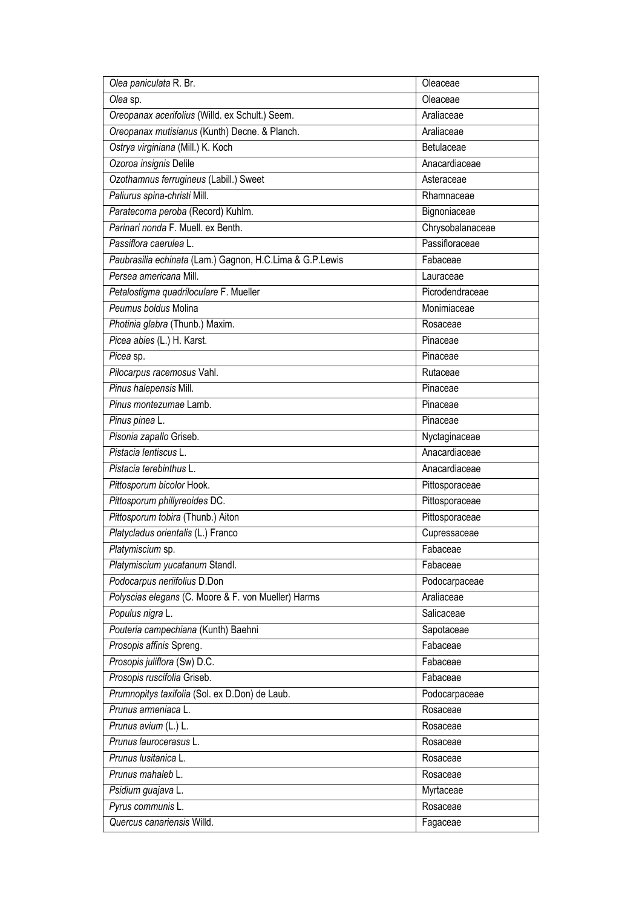| Olea paniculata R. Br.                                   | Oleaceae         |
|----------------------------------------------------------|------------------|
| Olea sp.                                                 | Oleaceae         |
| Oreopanax acerifolius (Willd. ex Schult.) Seem.          | Araliaceae       |
| Oreopanax mutisianus (Kunth) Decne. & Planch.            | Araliaceae       |
| Ostrya virginiana (Mill.) K. Koch                        | Betulaceae       |
| Ozoroa insignis Delile                                   | Anacardiaceae    |
| Ozothamnus ferrugineus (Labill.) Sweet                   | Asteraceae       |
| Paliurus spina-christi Mill.                             | Rhamnaceae       |
| Paratecoma peroba (Record) Kuhlm.                        | Bignoniaceae     |
| Parinari nonda F. Muell, ex Benth.                       | Chrysobalanaceae |
| Passiflora caerulea L.                                   | Passifloraceae   |
| Paubrasilia echinata (Lam.) Gagnon, H.C.Lima & G.P.Lewis | Fabaceae         |
| Persea americana Mill.                                   | Lauraceae        |
| Petalostigma quadriloculare F. Mueller                   | Picrodendraceae  |
| Peumus boldus Molina                                     | Monimiaceae      |
| Photinia glabra (Thunb.) Maxim.                          | Rosaceae         |
| Picea abies (L.) H. Karst.                               | Pinaceae         |
| Picea sp.                                                | Pinaceae         |
| Pilocarpus racemosus Vahl.                               | Rutaceae         |
| Pinus halepensis Mill.                                   | Pinaceae         |
| Pinus montezumae Lamb.                                   | Pinaceae         |
| Pinus pinea L.                                           | Pinaceae         |
| Pisonia zapallo Griseb.                                  | Nyctaginaceae    |
| Pistacia lentiscus L.                                    | Anacardiaceae    |
| Pistacia terebinthus L.                                  | Anacardiaceae    |
| Pittosporum bicolor Hook.                                | Pittosporaceae   |
| Pittosporum phillyreoides DC.                            | Pittosporaceae   |
| Pittosporum tobira (Thunb.) Aiton                        | Pittosporaceae   |
| Platycladus orientalis (L.) Franco                       | Cupressaceae     |
| Platymiscium sp.                                         | Fabaceae         |
| Platymiscium yucatanum Standl.                           | Fabaceae         |
| Podocarpus neriifolius D.Don                             | Podocarpaceae    |
| Polyscias elegans (C. Moore & F. von Mueller) Harms      | Araliaceae       |
| Populus nigra L.                                         | Salicaceae       |
| Pouteria campechiana (Kunth) Baehni                      | Sapotaceae       |
| Prosopis affinis Spreng.                                 | Fabaceae         |
| Prosopis juliflora (Sw) D.C.                             | Fabaceae         |
| Prosopis ruscifolia Griseb.                              | Fabaceae         |
| Prumnopitys taxifolia (Sol. ex D.Don) de Laub.           | Podocarpaceae    |
| Prunus armeniaca L.                                      | Rosaceae         |
| Prunus avium (L.) L.                                     | Rosaceae         |
| Prunus laurocerasus L.                                   | Rosaceae         |
| Prunus Iusitanica L.                                     | Rosaceae         |
| Prunus mahaleb L.                                        | Rosaceae         |
| Psidium guajava L.                                       | Myrtaceae        |
| Pyrus communis L.                                        | Rosaceae         |
| Quercus canariensis Willd.                               | Fagaceae         |
|                                                          |                  |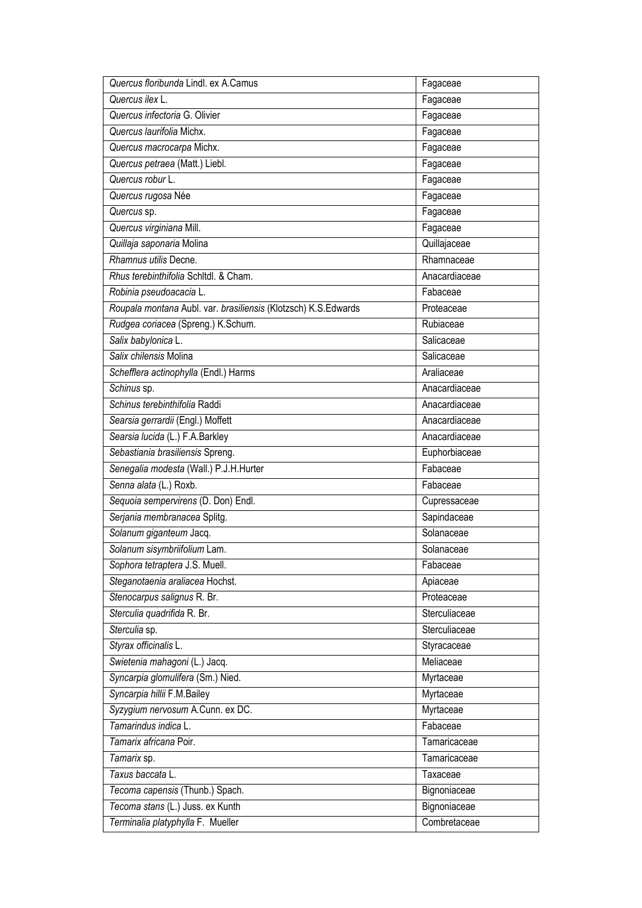| Quercus floribunda Lindl. ex A.Camus                           | Fagaceae      |
|----------------------------------------------------------------|---------------|
| Quercus ilex L.                                                | Fagaceae      |
| Quercus infectoria G. Olivier                                  | Fagaceae      |
| Quercus laurifolia Michx.                                      | Fagaceae      |
| Quercus macrocarpa Michx.                                      | Fagaceae      |
| Quercus petraea (Matt.) Liebl.                                 | Fagaceae      |
| Quercus robur L.                                               | Fagaceae      |
| Quercus rugosa Née                                             | Fagaceae      |
| Quercus sp.                                                    | Fagaceae      |
| Quercus virginiana Mill.                                       | Fagaceae      |
| Quillaja saponaria Molina                                      | Quillajaceae  |
| Rhamnus utilis Decne.                                          | Rhamnaceae    |
| Rhus terebinthifolia Schltdl. & Cham.                          | Anacardiaceae |
| Robinia pseudoacacia L.                                        | Fabaceae      |
| Roupala montana Aubl. var. brasiliensis (Klotzsch) K.S.Edwards | Proteaceae    |
| Rudgea coriacea (Spreng.) K.Schum.                             | Rubiaceae     |
| Salix babylonica L.                                            | Salicaceae    |
| Salix chilensis Molina                                         | Salicaceae    |
| Schefflera actinophylla (Endl.) Harms                          | Araliaceae    |
| Schinus sp.                                                    | Anacardiaceae |
| Schinus terebinthifolia Raddi                                  | Anacardiaceae |
| Searsia gerrardii (Engl.) Moffett                              | Anacardiaceae |
| Searsia lucida (L.) F.A.Barkley                                | Anacardiaceae |
| Sebastiania brasiliensis Spreng.                               | Euphorbiaceae |
| Senegalia modesta (Wall.) P.J.H.Hurter                         | Fabaceae      |
| Senna alata (L.) Roxb.                                         | Fabaceae      |
| Sequoia sempervirens (D. Don) Endl.                            | Cupressaceae  |
| Serjania membranacea Splitg.                                   | Sapindaceae   |
| Solanum giganteum Jacq.                                        | Solanaceae    |
| Solanum sisymbriifolium Lam.                                   | Solanaceae    |
| Sophora tetraptera J.S. Muell.                                 | Fabaceae      |
| Steganotaenia araliacea Hochst.                                | Apiaceae      |
| Stenocarpus salignus R. Br.                                    | Proteaceae    |
| Sterculia quadrifida R. Br.                                    | Sterculiaceae |
| Sterculia sp.                                                  | Sterculiaceae |
| Styrax officinalis L.                                          | Styracaceae   |
| Swietenia mahagoni (L.) Jacq.                                  | Meliaceae     |
| Syncarpia glomulifera (Sm.) Nied.                              | Myrtaceae     |
| Syncarpia hillii F.M.Bailey                                    | Myrtaceae     |
| Syzygium nervosum A.Cunn. ex DC.                               | Myrtaceae     |
| Tamarindus indica L.                                           | Fabaceae      |
| Tamarix africana Poir.                                         | Tamaricaceae  |
| Tamarix sp.                                                    | Tamaricaceae  |
| Taxus baccata L.                                               | Taxaceae      |
| Tecoma capensis (Thunb.) Spach.                                | Bignoniaceae  |
| Tecoma stans (L.) Juss. ex Kunth                               | Bignoniaceae  |
| Terminalia platyphylla F. Mueller                              | Combretaceae  |